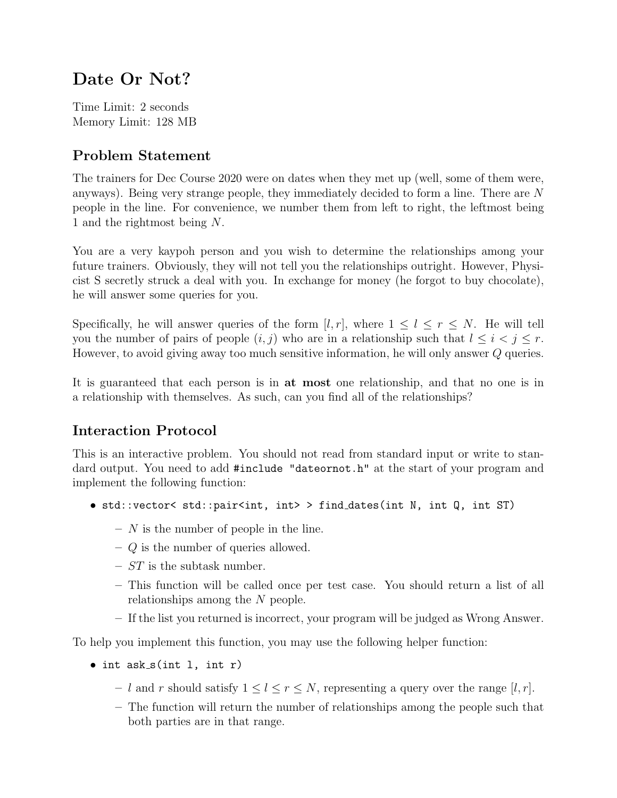# Date Or Not?

Time Limit: 2 seconds Memory Limit: 128 MB

#### Problem Statement

The trainers for Dec Course 2020 were on dates when they met up (well, some of them were, anyways). Being very strange people, they immediately decided to form a line. There are N people in the line. For convenience, we number them from left to right, the leftmost being 1 and the rightmost being N.

You are a very kaypoh person and you wish to determine the relationships among your future trainers. Obviously, they will not tell you the relationships outright. However, Physicist S secretly struck a deal with you. In exchange for money (he forgot to buy chocolate), he will answer some queries for you.

Specifically, he will answer queries of the form  $[l, r]$ , where  $1 \leq l \leq r \leq N$ . He will tell you the number of pairs of people  $(i, j)$  who are in a relationship such that  $l \leq i \leq j \leq r$ . However, to avoid giving away too much sensitive information, he will only answer Q queries.

It is guaranteed that each person is in at most one relationship, and that no one is in a relationship with themselves. As such, can you find all of the relationships?

## Interaction Protocol

This is an interactive problem. You should not read from standard input or write to standard output. You need to add #include "dateornot.h" at the start of your program and implement the following function:

- std::vector< std::pair<int, int> > find\_dates(int N, int Q, int ST)
	- $N$  is the number of people in the line.
	- $-$  Q is the number of queries allowed.
	- $-ST$  is the subtask number.
	- This function will be called once per test case. You should return a list of all relationships among the N people.
	- If the list you returned is incorrect, your program will be judged as Wrong Answer.

To help you implement this function, you may use the following helper function:

- $\bullet$  int ask\_s(int 1, int r)
	- l and r should satisfy  $1 \leq l \leq r \leq N$ , representing a query over the range [l, r].
	- The function will return the number of relationships among the people such that both parties are in that range.